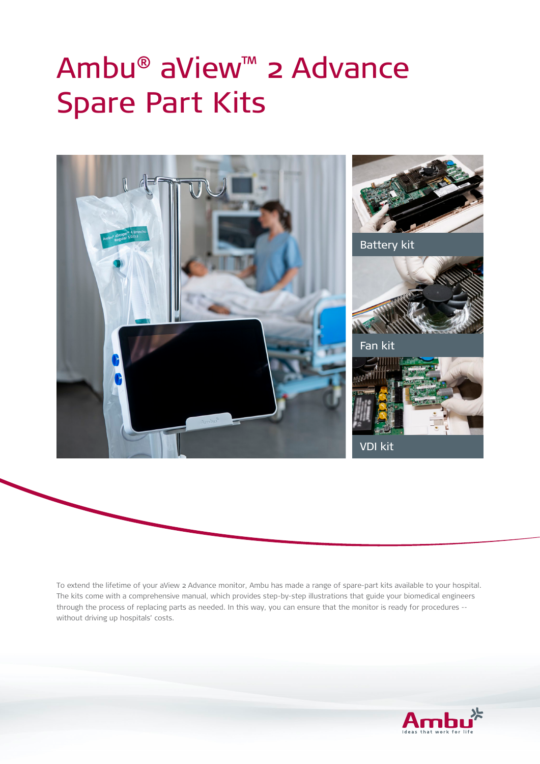## Ambu® aView™ 2 Advance Spare Part Kits



To extend the lifetime of your aView 2 Advance monitor, Ambu has made a range of spare-part kits available to your hospital. The kits come with a comprehensive manual, which provides step-by-step illustrations that guide your biomedical engineers through the process of replacing parts as needed. In this way, you can ensure that the monitor is ready for procedures - without driving up hospitals' costs.